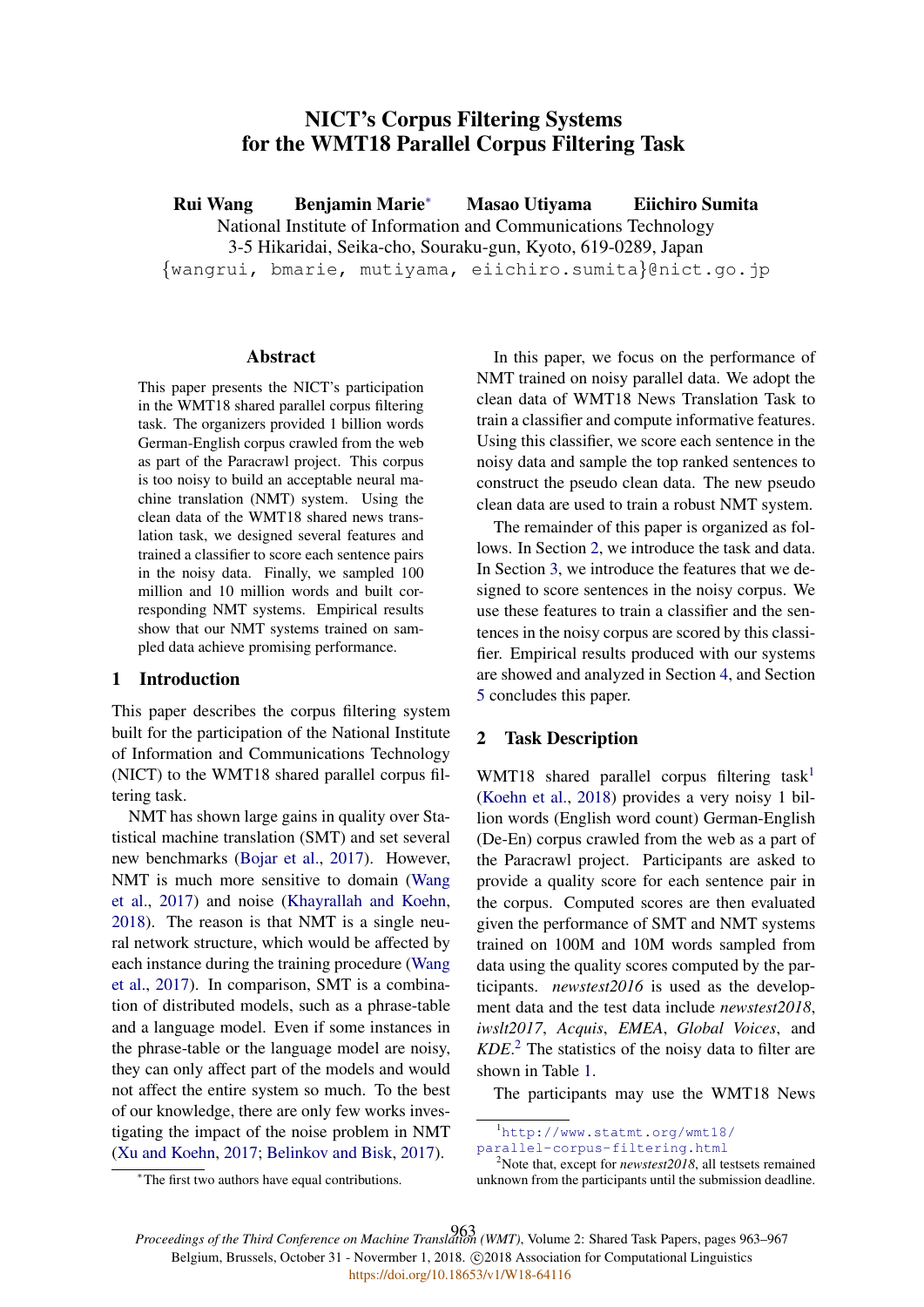# NICT's Corpus Filtering Systems for the WMT18 Parallel Corpus Filtering Task

Rui Wang Benjamin Marie<sup>∗</sup> Masao Utiyama Eiichiro Sumita National Institute of Information and Communications Technology 3-5 Hikaridai, Seika-cho, Souraku-gun, Kyoto, 619-0289, Japan {wangrui, bmarie, mutiyama, eiichiro.sumita}@nict.go.jp

#### Abstract

This paper presents the NICT's participation in the WMT18 shared parallel corpus filtering task. The organizers provided 1 billion words German-English corpus crawled from the web as part of the Paracrawl project. This corpus is too noisy to build an acceptable neural machine translation (NMT) system. Using the clean data of the WMT18 shared news translation task, we designed several features and trained a classifier to score each sentence pairs in the noisy data. Finally, we sampled 100 million and 10 million words and built corresponding NMT systems. Empirical results show that our NMT systems trained on sampled data achieve promising performance.

### 1 Introduction

This paper describes the corpus filtering system built for the participation of the National Institute of Information and Communications Technology (NICT) to the WMT18 shared parallel corpus filtering task.

NMT has shown large gains in quality over Statistical machine translation (SMT) and set several new benchmarks (Bojar et al., 2017). However, NMT is much more sensitive to domain (Wang et al., 2017) and noise (Khayrallah and Koehn, 2018). The reason is that NMT is a single neural network structure, which would be affected by each instance during the training procedure (Wang et al., 2017). In comparison, SMT is a combination of distributed models, such as a phrase-table and a language model. Even if some instances in the phrase-table or the language model are noisy, they can only affect part of the models and would not affect the entire system so much. To the best of our knowledge, there are only few works investigating the impact of the noise problem in NMT (Xu and Koehn, 2017; Belinkov and Bisk, 2017).

In this paper, we focus on the performance of NMT trained on noisy parallel data. We adopt the clean data of WMT18 News Translation Task to train a classifier and compute informative features. Using this classifier, we score each sentence in the noisy data and sample the top ranked sentences to construct the pseudo clean data. The new pseudo clean data are used to train a robust NMT system.

The remainder of this paper is organized as follows. In Section 2, we introduce the task and data. In Section 3, we introduce the features that we designed to score sentences in the noisy corpus. We use these features to train a classifier and the sentences in the noisy corpus are scored by this classifier. Empirical results produced with our systems are showed and analyzed in Section 4, and Section 5 concludes this paper.

#### 2 Task Description

WMT18 shared parallel corpus filtering task<sup>1</sup> (Koehn et al., 2018) provides a very noisy 1 billion words (English word count) German-English (De-En) corpus crawled from the web as a part of the Paracrawl project. Participants are asked to provide a quality score for each sentence pair in the corpus. Computed scores are then evaluated given the performance of SMT and NMT systems trained on 100M and 10M words sampled from data using the quality scores computed by the participants. *newstest2016* is used as the development data and the test data include *newstest2018*, *iwslt2017*, *Acquis*, *EMEA*, *Global Voices*, and *KDE*. <sup>2</sup> The statistics of the noisy data to filter are shown in Table 1.

The participants may use the WMT18 News

parallel-corpus-filtering.html

*Proceedings of the Third Conference on Machine Translation (WMT)*, Volume 2: Shared Task Papers, pages 963–967 963Belgium, Brussels, October 31 - Novermber 1, 2018. @2018 Association for Computational Linguistics <https://doi.org/10.18653/v1/W18-64116>

<sup>1</sup>http://www.statmt.org/wmt18/

<sup>2</sup>Note that, except for *newstest2018*, all testsets remained unknown from the participants until the submission deadline.

<sup>∗</sup>The first two authors have equal contributions.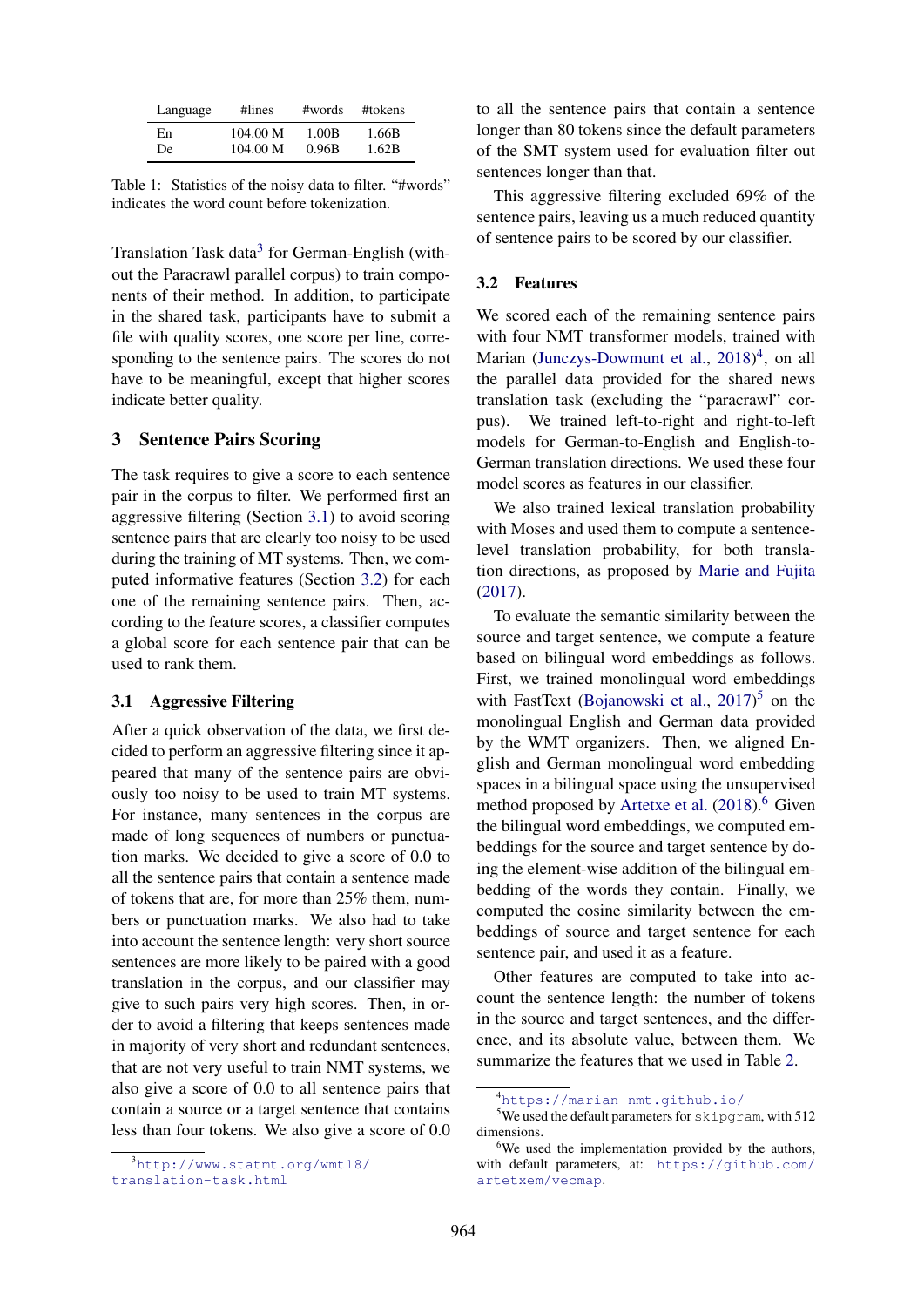| Language | #lines   | #words | #tokens |
|----------|----------|--------|---------|
| En       | 104.00 M | 1.00B  | 1.66B   |
| De       | 104.00 M | 0.96B  | 1.62B   |

Table 1: Statistics of the noisy data to filter. "#words" indicates the word count before tokenization.

Translation Task data<sup>3</sup> for German-English (without the Paracrawl parallel corpus) to train components of their method. In addition, to participate in the shared task, participants have to submit a file with quality scores, one score per line, corresponding to the sentence pairs. The scores do not have to be meaningful, except that higher scores indicate better quality.

### 3 Sentence Pairs Scoring

The task requires to give a score to each sentence pair in the corpus to filter. We performed first an aggressive filtering (Section 3.1) to avoid scoring sentence pairs that are clearly too noisy to be used during the training of MT systems. Then, we computed informative features (Section 3.2) for each one of the remaining sentence pairs. Then, according to the feature scores, a classifier computes a global score for each sentence pair that can be used to rank them.

#### 3.1 Aggressive Filtering

After a quick observation of the data, we first decided to perform an aggressive filtering since it appeared that many of the sentence pairs are obviously too noisy to be used to train MT systems. For instance, many sentences in the corpus are made of long sequences of numbers or punctuation marks. We decided to give a score of 0.0 to all the sentence pairs that contain a sentence made of tokens that are, for more than 25% them, numbers or punctuation marks. We also had to take into account the sentence length: very short source sentences are more likely to be paired with a good translation in the corpus, and our classifier may give to such pairs very high scores. Then, in order to avoid a filtering that keeps sentences made in majority of very short and redundant sentences, that are not very useful to train NMT systems, we also give a score of 0.0 to all sentence pairs that contain a source or a target sentence that contains less than four tokens. We also give a score of 0.0

<sup>3</sup>http://www.statmt.org/wmt18/ translation-task.html

to all the sentence pairs that contain a sentence longer than 80 tokens since the default parameters of the SMT system used for evaluation filter out sentences longer than that.

This aggressive filtering excluded 69% of the sentence pairs, leaving us a much reduced quantity of sentence pairs to be scored by our classifier.

#### 3.2 Features

We scored each of the remaining sentence pairs with four NMT transformer models, trained with Marian (Junczys-Dowmunt et al., 2018)<sup>4</sup>, on all the parallel data provided for the shared news translation task (excluding the "paracrawl" corpus). We trained left-to-right and right-to-left models for German-to-English and English-to-German translation directions. We used these four model scores as features in our classifier.

We also trained lexical translation probability with Moses and used them to compute a sentencelevel translation probability, for both translation directions, as proposed by Marie and Fujita (2017).

To evaluate the semantic similarity between the source and target sentence, we compute a feature based on bilingual word embeddings as follows. First, we trained monolingual word embeddings with FastText (Bojanowski et al.,  $2017$ )<sup>5</sup> on the monolingual English and German data provided by the WMT organizers. Then, we aligned English and German monolingual word embedding spaces in a bilingual space using the unsupervised method proposed by Artetxe et al.  $(2018)$ .<sup>6</sup> Given the bilingual word embeddings, we computed embeddings for the source and target sentence by doing the element-wise addition of the bilingual embedding of the words they contain. Finally, we computed the cosine similarity between the embeddings of source and target sentence for each sentence pair, and used it as a feature.

Other features are computed to take into account the sentence length: the number of tokens in the source and target sentences, and the difference, and its absolute value, between them. We summarize the features that we used in Table 2.

<sup>4</sup>https://marian-nmt.github.io/

<sup>&</sup>lt;sup>5</sup>We used the default parameters for skipgram, with 512 dimensions.

<sup>&</sup>lt;sup>6</sup>We used the implementation provided by the authors, with default parameters, at: https://github.com/ artetxem/vecmap.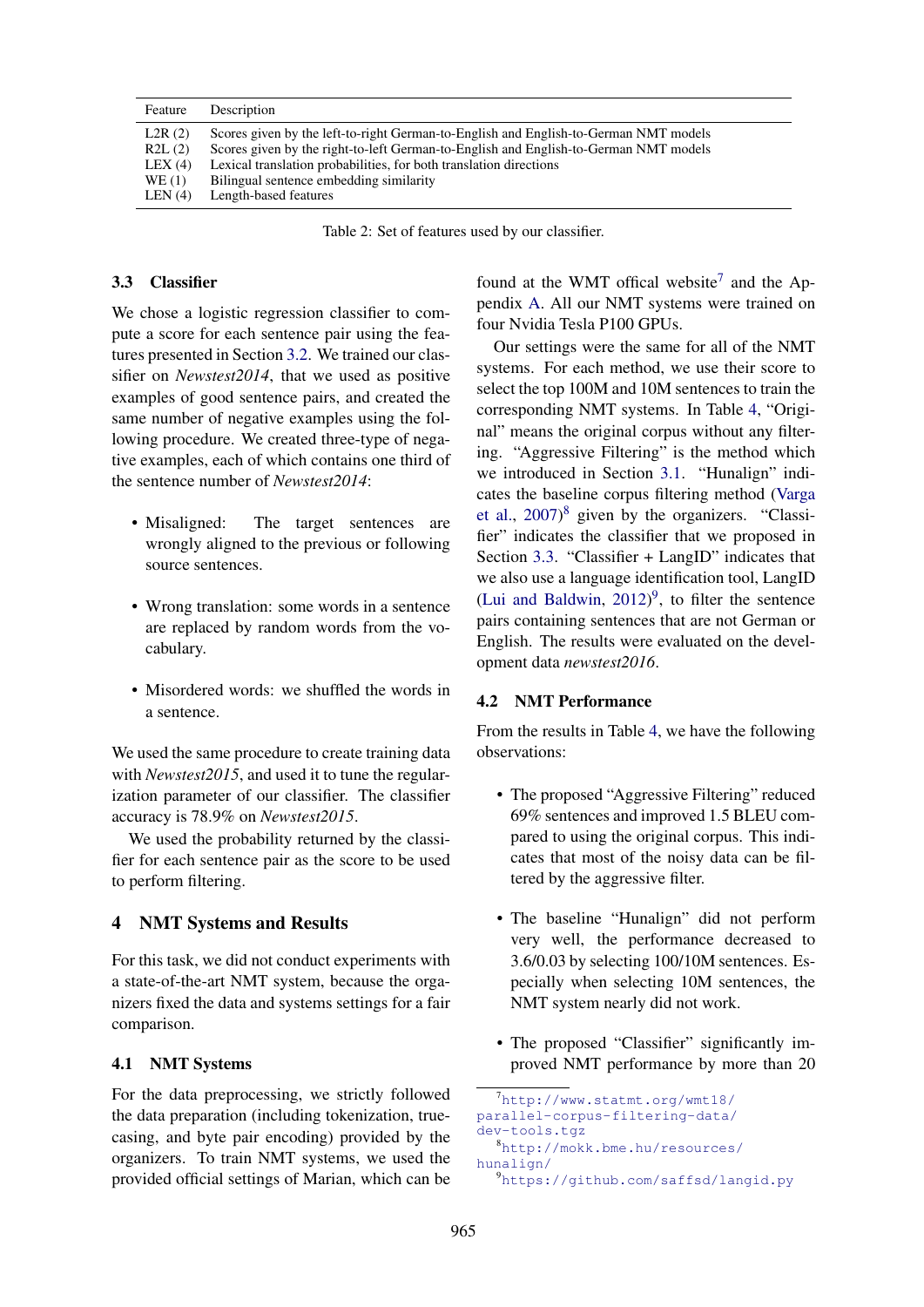| Feature                                              | Description                                                                                                                                                                                                                                                                                                            |
|------------------------------------------------------|------------------------------------------------------------------------------------------------------------------------------------------------------------------------------------------------------------------------------------------------------------------------------------------------------------------------|
| L2R(2)<br>R2L(2)<br>LEX $(4)$<br>WE (1)<br>LEN $(4)$ | Scores given by the left-to-right German-to-English and English-to-German NMT models<br>Scores given by the right-to-left German-to-English and English-to-German NMT models<br>Lexical translation probabilities, for both translation directions<br>Bilingual sentence embedding similarity<br>Length-based features |
|                                                      |                                                                                                                                                                                                                                                                                                                        |

Table 2: Set of features used by our classifier.

### 3.3 Classifier

We chose a logistic regression classifier to compute a score for each sentence pair using the features presented in Section 3.2. We trained our classifier on *Newstest2014*, that we used as positive examples of good sentence pairs, and created the same number of negative examples using the following procedure. We created three-type of negative examples, each of which contains one third of the sentence number of *Newstest2014*:

- Misaligned: The target sentences are wrongly aligned to the previous or following source sentences.
- Wrong translation: some words in a sentence are replaced by random words from the vocabulary.
- Misordered words: we shuffled the words in a sentence.

We used the same procedure to create training data with *Newstest2015*, and used it to tune the regularization parameter of our classifier. The classifier accuracy is 78.9% on *Newstest2015*.

We used the probability returned by the classifier for each sentence pair as the score to be used to perform filtering.

### 4 NMT Systems and Results

For this task, we did not conduct experiments with a state-of-the-art NMT system, because the organizers fixed the data and systems settings for a fair comparison.

### 4.1 NMT Systems

For the data preprocessing, we strictly followed the data preparation (including tokenization, truecasing, and byte pair encoding) provided by the organizers. To train NMT systems, we used the provided official settings of Marian, which can be found at the WMT offical website<sup>7</sup> and the Appendix A. All our NMT systems were trained on four Nvidia Tesla P100 GPUs.

Our settings were the same for all of the NMT systems. For each method, we use their score to select the top 100M and 10M sentences to train the corresponding NMT systems. In Table 4, "Original" means the original corpus without any filtering. "Aggressive Filtering" is the method which we introduced in Section 3.1. "Hunalign" indicates the baseline corpus filtering method (Varga et al., 2007) <sup>8</sup> given by the organizers. "Classifier" indicates the classifier that we proposed in Section 3.3. "Classifier + LangID" indicates that we also use a language identification tool, LangID (Lui and Baldwin,  $2012$ )<sup>9</sup>, to filter the sentence pairs containing sentences that are not German or English. The results were evaluated on the development data *newstest2016*.

#### 4.2 NMT Performance

From the results in Table 4, we have the following observations:

- The proposed "Aggressive Filtering" reduced 69% sentences and improved 1.5 BLEU compared to using the original corpus. This indicates that most of the noisy data can be filtered by the aggressive filter.
- The baseline "Hunalign" did not perform very well, the performance decreased to 3.6/0.03 by selecting 100/10M sentences. Especially when selecting 10M sentences, the NMT system nearly did not work.
- The proposed "Classifier" significantly improved NMT performance by more than 20

```
7http://www.statmt.org/wmt18/
parallel-corpus-filtering-data/
dev-tools.tgz
  8http://mokk.bme.hu/resources/
hunalign/
```

```
9https://github.com/saffsd/langid.py
```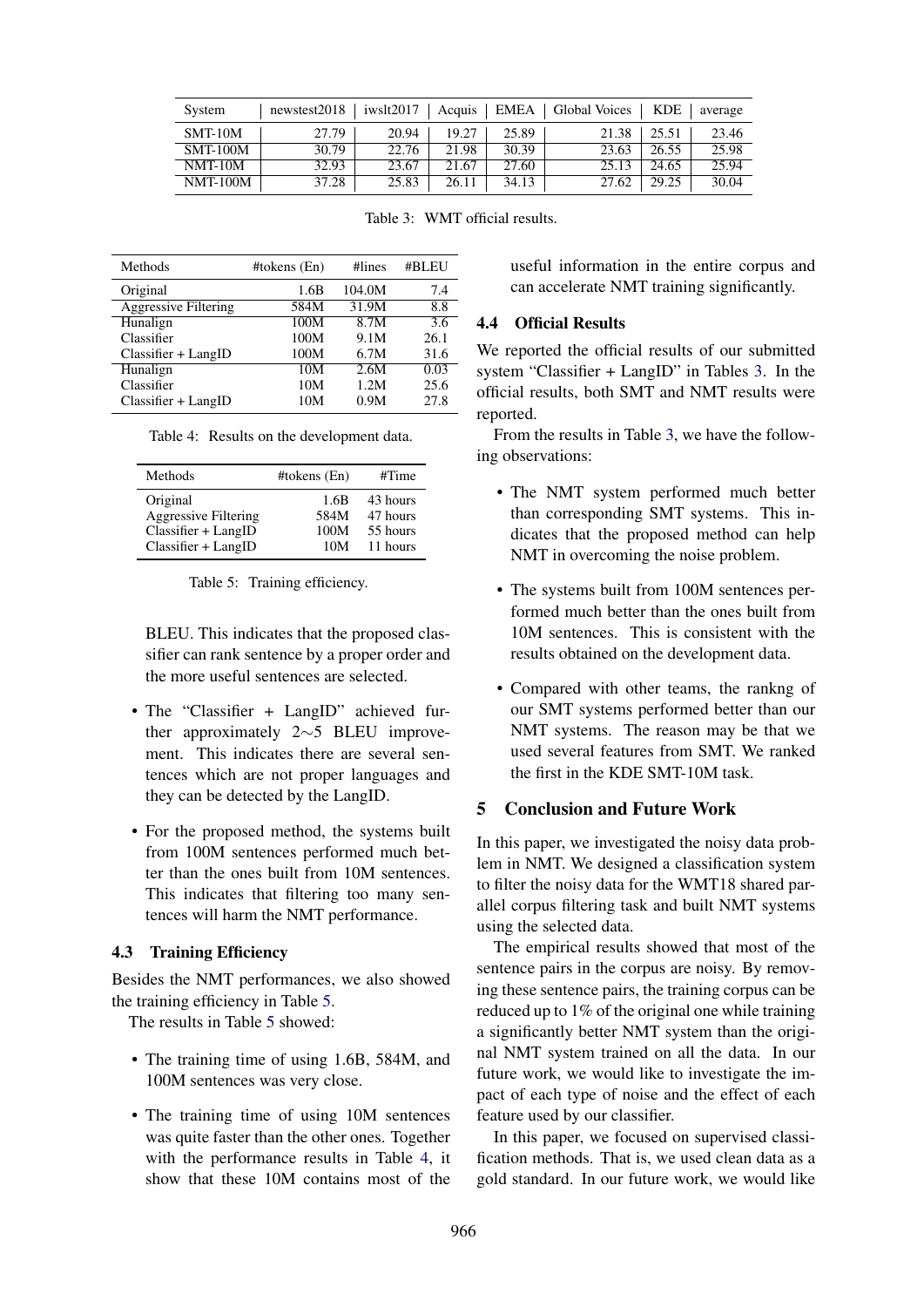| System          | newstest2018 |       |       |       | iwslt2017   Acquis   EMEA   Global Voices   KDE |       | average |
|-----------------|--------------|-------|-------|-------|-------------------------------------------------|-------|---------|
| $SMT-10M$       | 27.79        | 20.94 | 19.27 | 25.89 | 21.38                                           | 25.51 | 23.46   |
| <b>SMT-100M</b> | 30.79        | 22.76 | 21.98 | 30.39 | 23.63                                           | 26.55 | 25.98   |
| $NMT-10M$       | 32.93        | 23.67 | 21.67 | 27.60 | 25.13                                           | 24.65 | 25.94   |
| <b>NMT-100M</b> | 37.28        | 25.83 | 26.11 | 34.13 | 27.62                                           | 29.25 | 30.04   |

Table 3: WMT official results.

| Methods                     | #tokens (En) | #lines | #BLEU |
|-----------------------------|--------------|--------|-------|
| Original                    | 1.6B         | 104.0M | 7.4   |
| <b>Aggressive Filtering</b> | 584M         | 31.9M  | 8.8   |
| Hunalign                    | 100M         | 8.7M   | 3.6   |
| Classifier                  | 100M         | 9.1M   | 26.1  |
| $Classifier + LangID$       | 100M         | 6.7M   | 31.6  |
| Hunalign                    | 10M          | 2.6M   | 0.03  |
| Classifier                  | 10M          | 1.2M   | 25.6  |
| $Classifier + LangID$       | 10M          | 0.9M   | 27.8  |

Table 4: Results on the development data.

| Methods                     | #tokens $(En)$ | #Time    |
|-----------------------------|----------------|----------|
| Original                    | 1.6B           | 43 hours |
| <b>Aggressive Filtering</b> | 584M           | 47 hours |
| $Classifier + LangID$       | 100M           | 55 hours |
| $Classifier + LangID$       | 10M            | 11 hours |

Table 5: Training efficiency.

BLEU. This indicates that the proposed classifier can rank sentence by a proper order and the more useful sentences are selected.

- The "Classifier + LangID" achieved further approximately 2∼5 BLEU improvement. This indicates there are several sentences which are not proper languages and they can be detected by the LangID.
- For the proposed method, the systems built from 100M sentences performed much better than the ones built from 10M sentences. This indicates that filtering too many sentences will harm the NMT performance.

## 4.3 Training Efficiency

Besides the NMT performances, we also showed the training efficiency in Table 5.

The results in Table 5 showed:

- The training time of using 1.6B, 584M, and 100M sentences was very close.
- The training time of using 10M sentences was quite faster than the other ones. Together with the performance results in Table 4, it show that these 10M contains most of the

useful information in the entire corpus and can accelerate NMT training significantly.

## 4.4 Official Results

We reported the official results of our submitted system "Classifier + LangID" in Tables 3. In the official results, both SMT and NMT results were reported.

From the results in Table 3, we have the following observations:

- The NMT system performed much better than corresponding SMT systems. This indicates that the proposed method can help NMT in overcoming the noise problem.
- The systems built from 100M sentences performed much better than the ones built from 10M sentences. This is consistent with the results obtained on the development data.
- Compared with other teams, the rankng of our SMT systems performed better than our NMT systems. The reason may be that we used several features from SMT. We ranked the first in the KDE SMT-10M task.

# 5 Conclusion and Future Work

In this paper, we investigated the noisy data problem in NMT. We designed a classification system to filter the noisy data for the WMT18 shared parallel corpus filtering task and built NMT systems using the selected data.

The empirical results showed that most of the sentence pairs in the corpus are noisy. By removing these sentence pairs, the training corpus can be reduced up to 1% of the original one while training a significantly better NMT system than the original NMT system trained on all the data. In our future work, we would like to investigate the impact of each type of noise and the effect of each feature used by our classifier.

In this paper, we focused on supervised classification methods. That is, we used clean data as a gold standard. In our future work, we would like